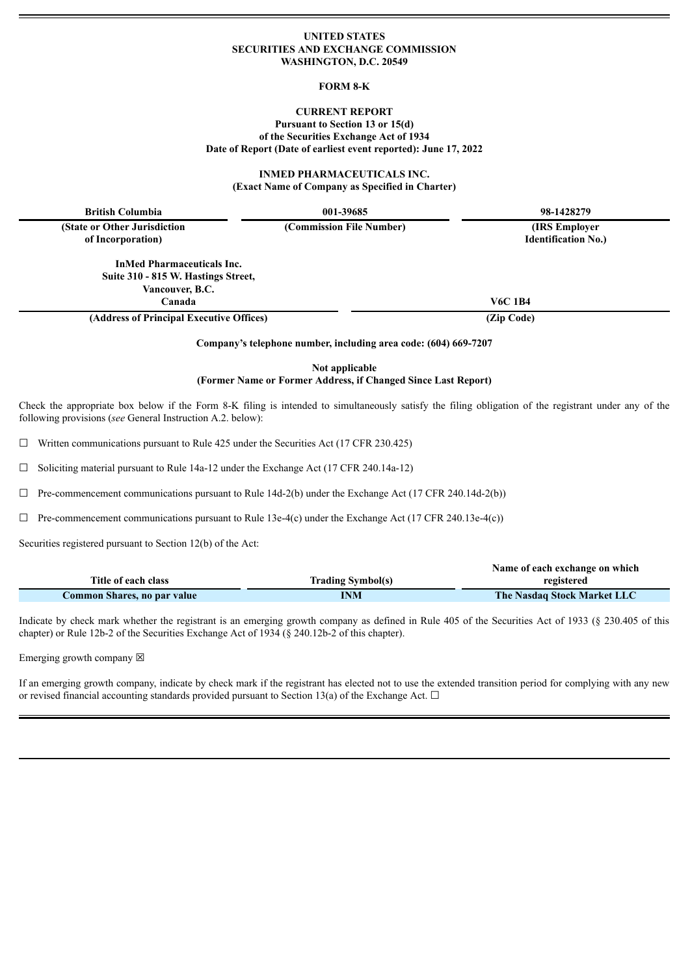#### **UNITED STATES SECURITIES AND EXCHANGE COMMISSION WASHINGTON, D.C. 20549**

#### **FORM 8-K**

### **CURRENT REPORT Pursuant to Section 13 or 15(d) of the Securities Exchange Act of 1934 Date of Report (Date of earliest event reported): June 17, 2022**

**INMED PHARMACEUTICALS INC. (Exact Name of Company as Specified in Charter)**

**British Columbia 001-39685 98-1428279**

**(State or Other Jurisdiction of Incorporation)**

> **InMed Pharmaceuticals Inc. Suite 310 - 815 W. Hastings Street, Vancouver, B.C. Canada V6C 1B4**

**(Address of Principal Executive Offices) (Zip Code)**

**Company's telephone number, including area code: (604) 669-7207**

**Not applicable (Former Name or Former Address, if Changed Since Last Report)**

Check the appropriate box below if the Form 8-K filing is intended to simultaneously satisfy the filing obligation of the registrant under any of the following provisions (*see* General Instruction A.2. below):

 $\Box$  Written communications pursuant to Rule 425 under the Securities Act (17 CFR 230.425)

 $\Box$  Soliciting material pursuant to Rule 14a-12 under the Exchange Act (17 CFR 240.14a-12)

 $\Box$  Pre-commencement communications pursuant to Rule 14d-2(b) under the Exchange Act (17 CFR 240.14d-2(b))

 $\Box$  Pre-commencement communications pursuant to Rule 13e-4(c) under the Exchange Act (17 CFR 240.13e-4(c))

Securities registered pursuant to Section 12(b) of the Act:

|                             |                          | Name of each exchange on which     |
|-----------------------------|--------------------------|------------------------------------|
| Title of each class         | <b>Trading Symbol(s)</b> | registered                         |
| Common Shares, no par value | INM                      | <b>The Nasdaq Stock Market LLC</b> |

Indicate by check mark whether the registrant is an emerging growth company as defined in Rule 405 of the Securities Act of 1933 (§ 230.405 of this chapter) or Rule 12b-2 of the Securities Exchange Act of 1934 (§ 240.12b-2 of this chapter).

Emerging growth company  $\boxtimes$ 

If an emerging growth company, indicate by check mark if the registrant has elected not to use the extended transition period for complying with any new or revised financial accounting standards provided pursuant to Section 13(a) of the Exchange Act.  $\Box$ 

**(Commission File Number) (IRS Employer**

**Identification No.)**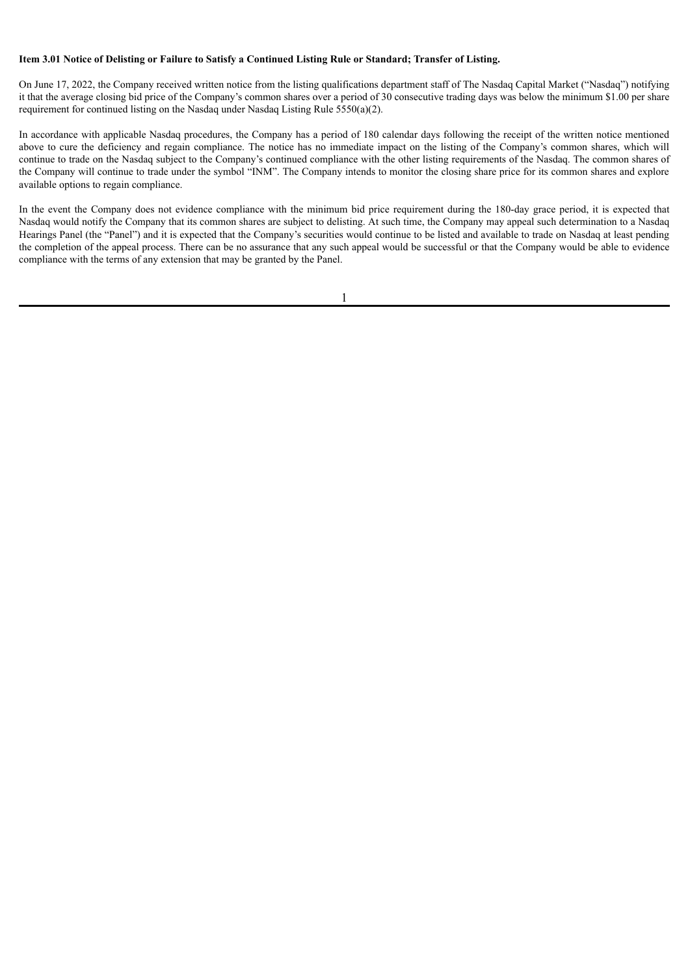## Item 3.01 Notice of Delisting or Failure to Satisfy a Continued Listing Rule or Standard: Transfer of Listing.

On June 17, 2022, the Company received written notice from the listing qualifications department staff of The Nasdaq Capital Market ("Nasdaq") notifying it that the average closing bid price of the Company's common shares over a period of 30 consecutive trading days was below the minimum \$1.00 per share requirement for continued listing on the Nasdaq under Nasdaq Listing Rule 5550(a)(2).

In accordance with applicable Nasdaq procedures, the Company has a period of 180 calendar days following the receipt of the written notice mentioned above to cure the deficiency and regain compliance. The notice has no immediate impact on the listing of the Company's common shares, which will continue to trade on the Nasdaq subject to the Company's continued compliance with the other listing requirements of the Nasdaq. The common shares of the Company will continue to trade under the symbol "INM". The Company intends to monitor the closing share price for its common shares and explore available options to regain compliance.

In the event the Company does not evidence compliance with the minimum bid price requirement during the 180-day grace period, it is expected that Nasdaq would notify the Company that its common shares are subject to delisting. At such time, the Company may appeal such determination to a Nasdaq Hearings Panel (the "Panel") and it is expected that the Company's securities would continue to be listed and available to trade on Nasdaq at least pending the completion of the appeal process. There can be no assurance that any such appeal would be successful or that the Company would be able to evidence compliance with the terms of any extension that may be granted by the Panel.

1